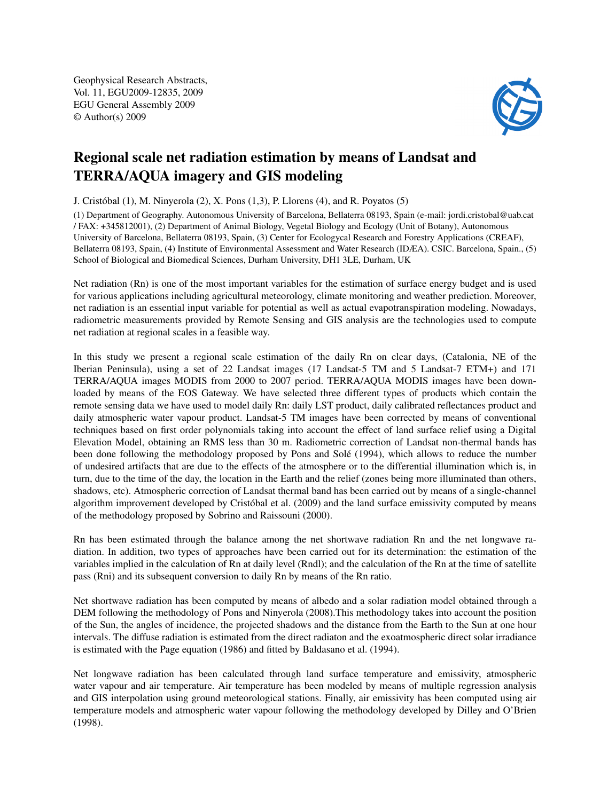Geophysical Research Abstracts, Vol. 11, EGU2009-12835, 2009 EGU General Assembly 2009 © Author(s) 2009



## Regional scale net radiation estimation by means of Landsat and TERRA/AQUA imagery and GIS modeling

J. Cristóbal (1), M. Ninyerola (2), X. Pons (1,3), P. Llorens (4), and R. Poyatos (5)

(1) Department of Geography. Autonomous University of Barcelona, Bellaterra 08193, Spain (e-mail: jordi.cristobal@uab.cat / FAX: +345812001), (2) Department of Animal Biology, Vegetal Biology and Ecology (Unit of Botany), Autonomous University of Barcelona, Bellaterra 08193, Spain, (3) Center for Ecologycal Research and Forestry Applications (CREAF), Bellaterra 08193, Spain, (4) Institute of Environmental Assessment and Water Research (IDÆA). CSIC. Barcelona, Spain., (5) School of Biological and Biomedical Sciences, Durham University, DH1 3LE, Durham, UK

Net radiation (Rn) is one of the most important variables for the estimation of surface energy budget and is used for various applications including agricultural meteorology, climate monitoring and weather prediction. Moreover, net radiation is an essential input variable for potential as well as actual evapotranspiration modeling. Nowadays, radiometric measurements provided by Remote Sensing and GIS analysis are the technologies used to compute net radiation at regional scales in a feasible way.

In this study we present a regional scale estimation of the daily Rn on clear days, (Catalonia, NE of the Iberian Peninsula), using a set of 22 Landsat images (17 Landsat-5 TM and 5 Landsat-7 ETM+) and 171 TERRA/AQUA images MODIS from 2000 to 2007 period. TERRA/AQUA MODIS images have been downloaded by means of the EOS Gateway. We have selected three different types of products which contain the remote sensing data we have used to model daily Rn: daily LST product, daily calibrated reflectances product and daily atmospheric water vapour product. Landsat-5 TM images have been corrected by means of conventional techniques based on first order polynomials taking into account the effect of land surface relief using a Digital Elevation Model, obtaining an RMS less than 30 m. Radiometric correction of Landsat non-thermal bands has been done following the methodology proposed by Pons and Solé (1994), which allows to reduce the number of undesired artifacts that are due to the effects of the atmosphere or to the differential illumination which is, in turn, due to the time of the day, the location in the Earth and the relief (zones being more illuminated than others, shadows, etc). Atmospheric correction of Landsat thermal band has been carried out by means of a single-channel algorithm improvement developed by Cristóbal et al. (2009) and the land surface emissivity computed by means of the methodology proposed by Sobrino and Raissouni (2000).

Rn has been estimated through the balance among the net shortwave radiation Rn and the net longwave radiation. In addition, two types of approaches have been carried out for its determination: the estimation of the variables implied in the calculation of Rn at daily level (Rndl); and the calculation of the Rn at the time of satellite pass (Rni) and its subsequent conversion to daily Rn by means of the Rn ratio.

Net shortwave radiation has been computed by means of albedo and a solar radiation model obtained through a DEM following the methodology of Pons and Ninyerola (2008).This methodology takes into account the position of the Sun, the angles of incidence, the projected shadows and the distance from the Earth to the Sun at one hour intervals. The diffuse radiation is estimated from the direct radiaton and the exoatmospheric direct solar irradiance is estimated with the Page equation (1986) and fitted by Baldasano et al. (1994).

Net longwave radiation has been calculated through land surface temperature and emissivity, atmospheric water vapour and air temperature. Air temperature has been modeled by means of multiple regression analysis and GIS interpolation using ground meteorological stations. Finally, air emissivity has been computed using air temperature models and atmospheric water vapour following the methodology developed by Dilley and O'Brien (1998).